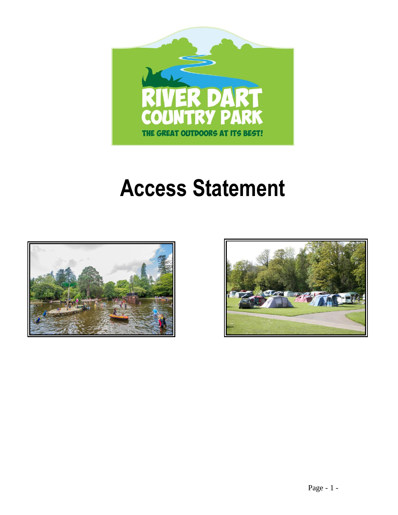

# **Access Statement**



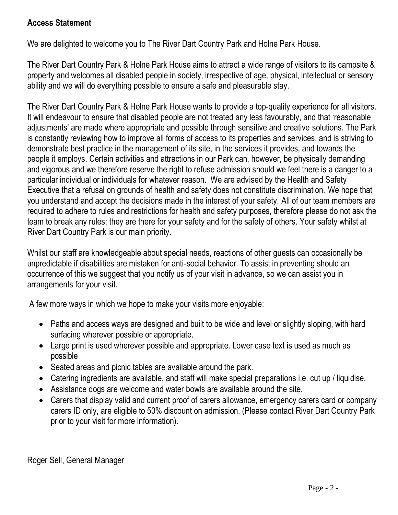## **Access Statement**

We are delighted to welcome you to The River Dart Country Park and Holne Park House.

The River Dart Country Park & Holne Park House aims to attract a wide range of visitors to its campsite & property and welcomes all disabled people in society, irrespective of age, physical, intellectual or sensory ability and we will do everything possible to ensure a safe and pleasurable stay.

The River Dart Country Park & Holne Park House wants to provide a top-quality experience for all visitors. It will endeavour to ensure that disabled people are not treated any less favourably, and that 'reasonable adjustments' are made where appropriate and possible through sensitive and creative solutions. The Park is constantly reviewing how to improve all forms of access to its properties and services, and is striving to demonstrate best practice in the management of its site, in the services it provides, and towards the people it employs. Certain activities and attractions in our Park can, however, be physically demanding and vigorous and we therefore reserve the right to refuse admission should we feel there is a danger to a particular individual or individuals for whatever reason. We are advised by the Health and Safety Executive that a refusal on grounds of health and safety does not constitute discrimination. We hope that you understand and accept the decisions made in the interest of your safety. All of our team members are required to adhere to rules and restrictions for health and safety purposes, therefore please do not ask the team to break any rules; they are there for your safety and for the safety of others. Your safety whilst at River Dart Country Park is our main priority.

Whilst our staff are knowledgeable about special needs, reactions of other guests can occasionally be unpredictable if disabilities are mistaken for anti-social behavior. To assist in preventing should an occurrence of this we suggest that you notify us of your visit in advance, so we can assist you in arrangements for your visit.

A few more ways in which we hope to make your visits more enjoyable:

- Paths and access ways are designed and built to be wide and level or slightly sloping, with hard surfacing wherever possible or appropriate.
- Large print is used wherever possible and appropriate. Lower case text is used as much as possible
- Seated areas and picnic tables are available around the park.
- Catering ingredients are available, and staff will make special preparations i.e. cut up / liquidise.
- Assistance dogs are welcome and water bowls are available around the site.
- Carers that display valid and current proof of carers allowance, emergency carers card or company carers ID only, are eligible to 50% discount on admission. (Please contact River Dart Country Park prior to your visit for more information).

Roger Sell, General Manager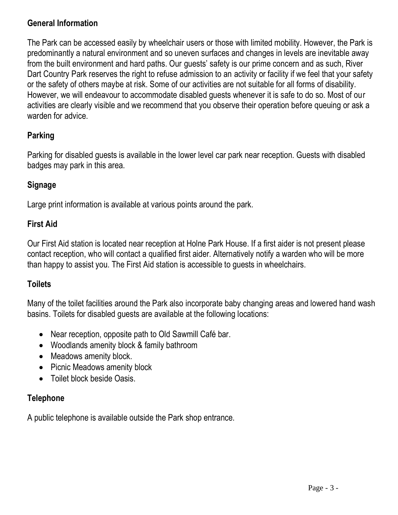## **General Information**

The Park can be accessed easily by wheelchair users or those with limited mobility. However, the Park is predominantly a natural environment and so uneven surfaces and changes in levels are inevitable away from the built environment and hard paths. Our guests' safety is our prime concern and as such, River Dart Country Park reserves the right to refuse admission to an activity or facility if we feel that your safety or the safety of others maybe at risk. Some of our activities are not suitable for all forms of disability. However, we will endeavour to accommodate disabled guests whenever it is safe to do so. Most of our activities are clearly visible and we recommend that you observe their operation before queuing or ask a warden for advice.

## **Parking**

Parking for disabled guests is available in the lower level car park near reception. Guests with disabled badges may park in this area.

## **Signage**

Large print information is available at various points around the park.

#### **First Aid**

Our First Aid station is located near reception at Holne Park House. If a first aider is not present please contact reception, who will contact a qualified first aider. Alternatively notify a warden who will be more than happy to assist you. The First Aid station is accessible to guests in wheelchairs.

## **Toilets**

Many of the toilet facilities around the Park also incorporate baby changing areas and lowered hand wash basins. Toilets for disabled guests are available at the following locations:

- Near reception, opposite path to Old Sawmill Café bar.
- Woodlands amenity block & family bathroom
- Meadows amenity block.
- Picnic Meadows amenity block
- Toilet block beside Oasis.

## **Telephone**

A public telephone is available outside the Park shop entrance.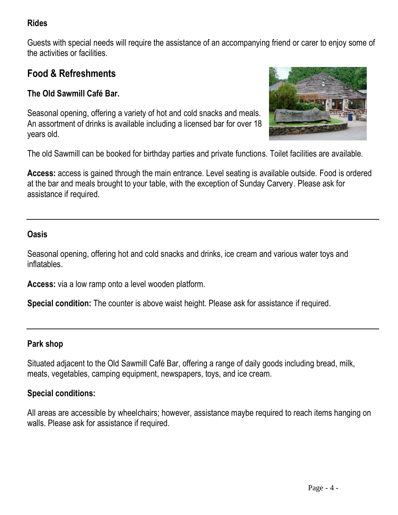## **Rides**

Guests with special needs will require the assistance of an accompanying friend or carer to enjoy some of the activities or facilities.

## **Food & Refreshments**

## **The Old Sawmill Café Bar.**

Seasonal opening, offering a variety of hot and cold snacks and meals. An assortment of drinks is available including a licensed bar for over 18 years old.



The old Sawmill can be booked for birthday parties and private functions. Toilet facilities are available.

**Access:** access is gained through the main entrance. Level seating is available outside. Food is ordered at the bar and meals brought to your table, with the exception of Sunday Carvery. Please ask for assistance if required.

#### **Oasis**

Seasonal opening, offering hot and cold snacks and drinks, ice cream and various water toys and inflatables.

**Access:** via a low ramp onto a level wooden platform.

**Special condition:** The counter is above waist height. Please ask for assistance if required.

#### **Park shop**

Situated adjacent to the Old Sawmill Café Bar, offering a range of daily goods including bread, milk, meats, vegetables, camping equipment, newspapers, toys, and ice cream.

#### **Special conditions:**

All areas are accessible by wheelchairs; however, assistance maybe required to reach items hanging on walls. Please ask for assistance if required.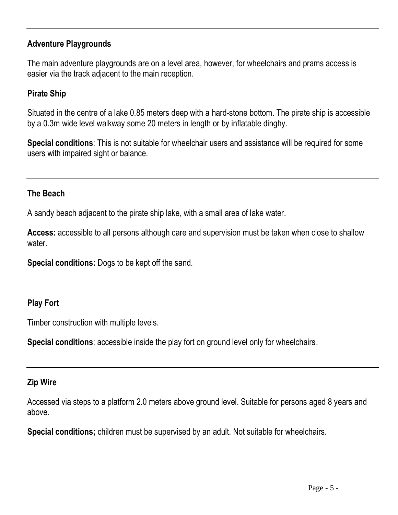## **Adventure Playgrounds**

The main adventure playgrounds are on a level area, however, for wheelchairs and prams access is easier via the track adjacent to the main reception.

## **Pirate Ship**

Situated in the centre of a lake 0.85 meters deep with a hard-stone bottom. The pirate ship is accessible by a 0.3m wide level walkway some 20 meters in length or by inflatable dinghy.

**Special conditions**: This is not suitable for wheelchair users and assistance will be required for some users with impaired sight or balance.

#### **The Beach**

A sandy beach adjacent to the pirate ship lake, with a small area of lake water.

**Access:** accessible to all persons although care and supervision must be taken when close to shallow water.

**Special conditions:** Dogs to be kept off the sand.

## **Play Fort**

Timber construction with multiple levels.

**Special conditions**: accessible inside the play fort on ground level only for wheelchairs.

#### **Zip Wire**

Accessed via steps to a platform 2.0 meters above ground level. Suitable for persons aged 8 years and above.

**Special conditions;** children must be supervised by an adult. Not suitable for wheelchairs.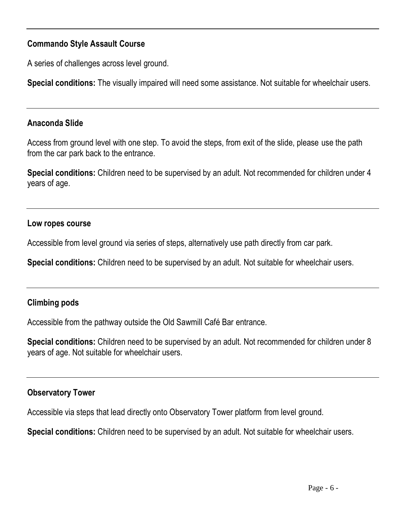## **Commando Style Assault Course**

A series of challenges across level ground.

**Special conditions:** The visually impaired will need some assistance. Not suitable for wheelchair users.

## **Anaconda Slide**

Access from ground level with one step. To avoid the steps, from exit of the slide, please use the path from the car park back to the entrance.

**Special conditions:** Children need to be supervised by an adult. Not recommended for children under 4 years of age.

## **Low ropes course**

Accessible from level ground via series of steps, alternatively use path directly from car park.

**Special conditions:** Children need to be supervised by an adult. Not suitable for wheelchair users.

## **Climbing pods**

Accessible from the pathway outside the Old Sawmill Café Bar entrance.

**Special conditions:** Children need to be supervised by an adult. Not recommended for children under 8 years of age. Not suitable for wheelchair users.

## **Observatory Tower**

Accessible via steps that lead directly onto Observatory Tower platform from level ground.

**Special conditions:** Children need to be supervised by an adult. Not suitable for wheelchair users.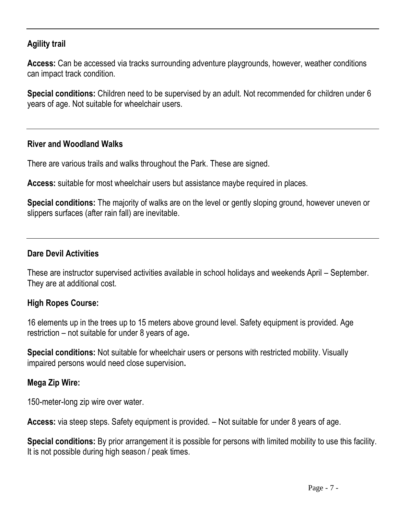## **Agility trail**

**Access:** Can be accessed via tracks surrounding adventure playgrounds, however, weather conditions can impact track condition.

**Special conditions:** Children need to be supervised by an adult. Not recommended for children under 6 years of age. Not suitable for wheelchair users.

#### **River and Woodland Walks**

There are various trails and walks throughout the Park. These are signed.

**Access:** suitable for most wheelchair users but assistance maybe required in places.

**Special conditions:** The majority of walks are on the level or gently sloping ground, however uneven or slippers surfaces (after rain fall) are inevitable.

#### **Dare Devil Activities**

These are instructor supervised activities available in school holidays and weekends April – September. They are at additional cost.

#### **High Ropes Course:**

16 elements up in the trees up to 15 meters above ground level. Safety equipment is provided. Age restriction – not suitable for under 8 years of age**.**

**Special conditions:** Not suitable for wheelchair users or persons with restricted mobility. Visually impaired persons would need close supervision**.** 

#### **Mega Zip Wire:**

150-meter-long zip wire over water.

**Access:** via steep steps. Safety equipment is provided. – Not suitable for under 8 years of age.

**Special conditions:** By prior arrangement it is possible for persons with limited mobility to use this facility. It is not possible during high season / peak times.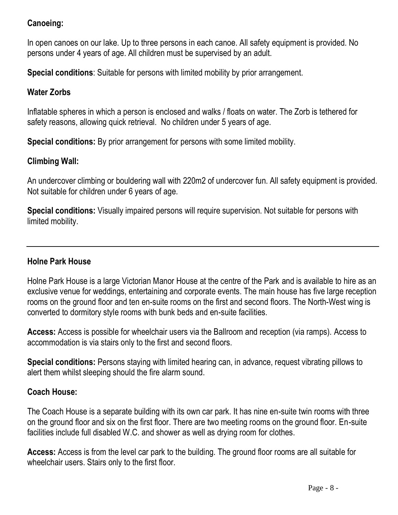## **Canoeing:**

In open canoes on our lake. Up to three persons in each canoe. All safety equipment is provided. No persons under 4 years of age. All children must be supervised by an adult.

**Special conditions**: Suitable for persons with limited mobility by prior arrangement.

#### **Water Zorbs**

Inflatable spheres in which a person is enclosed and walks / floats on water. The Zorb is tethered for safety reasons, allowing quick retrieval. No children under 5 years of age.

**Special conditions:** By prior arrangement for persons with some limited mobility.

#### **Climbing Wall:**

An undercover climbing or bouldering wall with 220m2 of undercover fun. All safety equipment is provided. Not suitable for children under 6 years of age.

**Special conditions:** Visually impaired persons will require supervision. Not suitable for persons with limited mobility.

## **Holne Park House**

Holne Park House is a large Victorian Manor House at the centre of the Park and is available to hire as an exclusive venue for weddings, entertaining and corporate events. The main house has five large reception rooms on the ground floor and ten en-suite rooms on the first and second floors. The North-West wing is converted to dormitory style rooms with bunk beds and en-suite facilities.

**Access:** Access is possible for wheelchair users via the Ballroom and reception (via ramps). Access to accommodation is via stairs only to the first and second floors.

**Special conditions:** Persons staying with limited hearing can, in advance, request vibrating pillows to alert them whilst sleeping should the fire alarm sound.

#### **Coach House:**

The Coach House is a separate building with its own car park. It has nine en-suite twin rooms with three on the ground floor and six on the first floor. There are two meeting rooms on the ground floor. En-suite facilities include full disabled W.C. and shower as well as drying room for clothes.

**Access:** Access is from the level car park to the building. The ground floor rooms are all suitable for wheelchair users. Stairs only to the first floor.